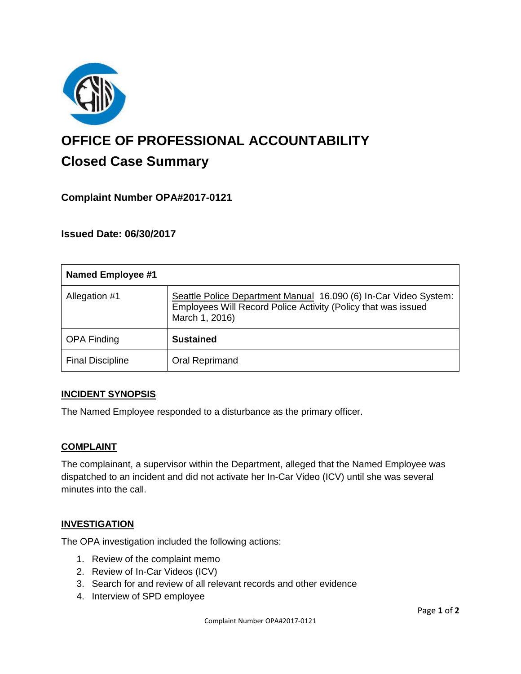

# **OFFICE OF PROFESSIONAL ACCOUNTABILITY Closed Case Summary**

## **Complaint Number OPA#2017-0121**

**Issued Date: 06/30/2017**

| <b>Named Employee #1</b> |                                                                                                                                                     |
|--------------------------|-----------------------------------------------------------------------------------------------------------------------------------------------------|
| Allegation #1            | Seattle Police Department Manual 16.090 (6) In-Car Video System:<br>Employees Will Record Police Activity (Policy that was issued<br>March 1, 2016) |
| <b>OPA Finding</b>       | <b>Sustained</b>                                                                                                                                    |
| <b>Final Discipline</b>  | Oral Reprimand                                                                                                                                      |

#### **INCIDENT SYNOPSIS**

The Named Employee responded to a disturbance as the primary officer.

#### **COMPLAINT**

The complainant, a supervisor within the Department, alleged that the Named Employee was dispatched to an incident and did not activate her In-Car Video (ICV) until she was several minutes into the call.

#### **INVESTIGATION**

The OPA investigation included the following actions:

- 1. Review of the complaint memo
- 2. Review of In-Car Videos (ICV)
- 3. Search for and review of all relevant records and other evidence
- 4. Interview of SPD employee